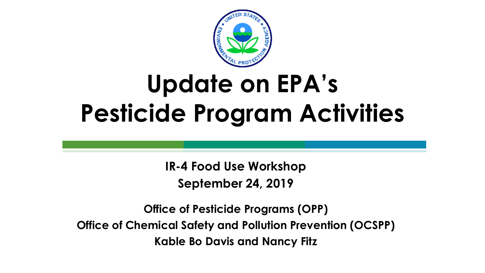

### **Update on EPA's Pesticide Program Activities**

**IR-4 Food Use Workshop September 24, 2019**

**Office of Pesticide Programs (OPP) Office of Chemical Safety and Pollution Prevention (OCSPP) Kable Bo Davis and Nancy Fitz**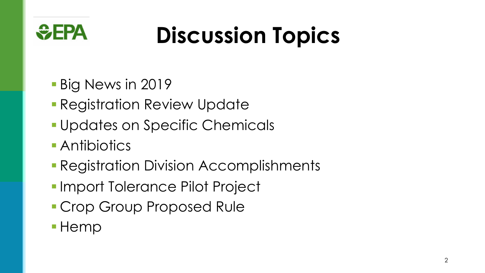

## **Discussion Topics**

- § Big News in 2019
- Registration Review Update
- § Updates on Specific Chemicals
- Antibiotics
- Registration Division Accomplishments
- Import Tolerance Pilot Project
- Crop Group Proposed Rule
- § Hemp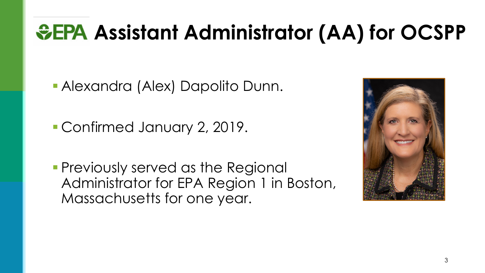### **& EPA Assistant Administrator (AA) for OCSPP**

§ Alexandra (Alex) Dapolito Dunn.

■ Confirmed January 2, 2019.

**• Previously served as the Regional** Administrator for EPA Region 1 in Boston, Massachusetts for one year.

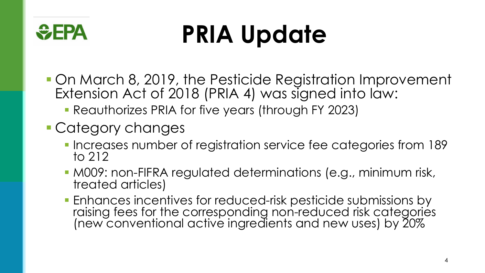

# **PRIA Update**

- On March 8, 2019, the Pesticide Registration Improvement Extension Act of 2018 (PRIA 4) was signed into law:
	- § Reauthorizes PRIA for five years (through FY 2023)
- § Category changes
	- Increases number of registration service fee categories from 189 to 212
	- M009: non-FIFRA regulated determinations (e.g., minimum risk, treated articles)
	- Enhances incentives for reduced-risk pesticide submissions by raising fees for the corresponding non-reduced risk categories (new conventional active ingredients and new uses) by 20%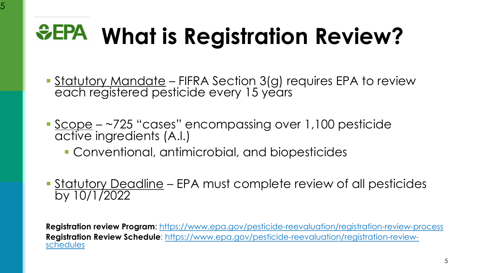#### **SEPA What is Registration**

5

- Statutory Mandate FIFRA Section 3(g) requires Enancy Mandate FIFRA Section 3(g) require<br>Each registered [pesticide every 15 years](https://www.epa.gov/pesticide-reevaluation/registration-review-process)
- Scope ~725 "cases" encompassing over 1 active ingredients (A.I.)
	- Conventional, antimicrobial, and biopes
- **Statutory Deadline EPA must complete review** by 10/1/2022

**Registration review Program: https://www.epa.gov/pesticide-reevaluation-Registration Review Schedule:** https://www.epa.gov/pesticide-reevaluation-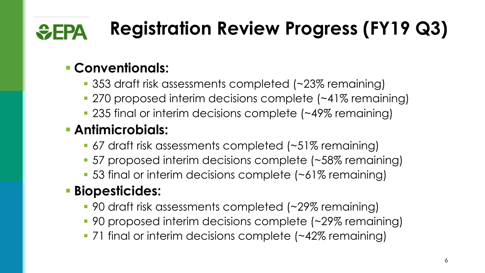#### **Registration Review Progress (FY19 Q3)**  $\bigoplus$ FPA

### § **Conventionals:**

- § 353 draft risk assessments completed (~23% remaining)
- 270 proposed interim decisions complete (~41% remaining)
- 235 final or interim decisions complete (~49% remaining)

### § **Antimicrobials:**

- 67 draft risk assessments completed (~51% remaining)
- 57 proposed interim decisions complete (~58% remaining)
- 53 final or interim decisions complete (~61% remaining)

### § **Biopesticides:**

- 90 draft risk assessments completed (~29% remaining)
- 90 proposed interim decisions complete (~29% remaining)
- 71 final or interim decisions complete (~42% remaining)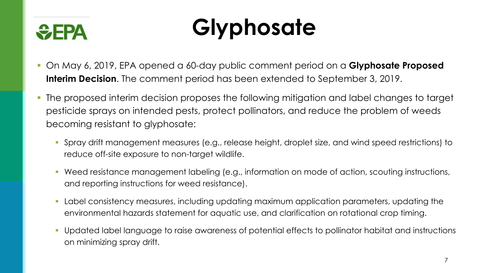

### **Glyphosate**

- § On May 6, 2019, EPA opened a 60-day public comment period on a **Glyphosate Proposed Interim Decision**. The comment period has been extended to September 3, 2019.
- The proposed interim decision proposes the following mitigation and label changes to target pesticide sprays on intended pests, protect pollinators, and reduce the problem of weeds becoming resistant to glyphosate:
	- § Spray drift management measures (e.g., release height, droplet size, and wind speed restrictions) to reduce off-site exposure to non-target wildlife.
	- Weed resistance management labeling (e.g., information on mode of action, scouting instructions, and reporting instructions for weed resistance).
	- Label consistency measures, including updating maximum application parameters, updating the environmental hazards statement for aquatic use, and clarification on rotational crop timing.
	- § Updated label language to raise awareness of potential effects to pollinator habitat and instructions on minimizing spray drift.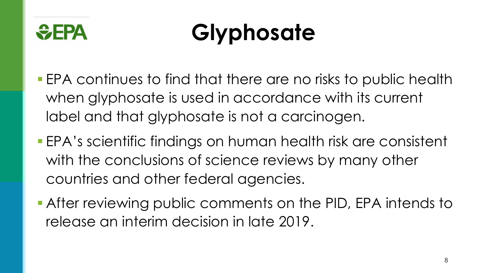

## **Glyphosate**

- EPA continues to find that there are no risks to public health when glyphosate is used in accordance with its current label and that glyphosate is not a carcinogen.
- EPA's scientific findings on human health risk are consistent with the conclusions of science reviews by many other countries and other federal agencies.
- After reviewing public comments on the PID, EPA intends to release an interim decision in late 2019.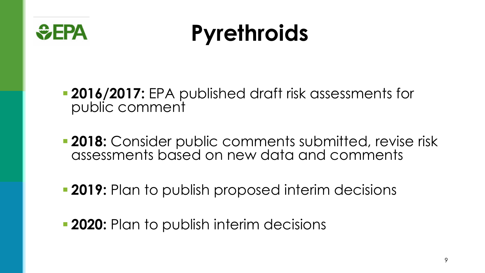

### **Pyrethroids**

§ **2016/2017:** EPA published draft risk assessments for public comment

- **2018:** Consider public comments submitted, revise risk assessments based on new data and comments
- **2019:** Plan to publish proposed interim decisions
- **2020:** Plan to publish interim decisions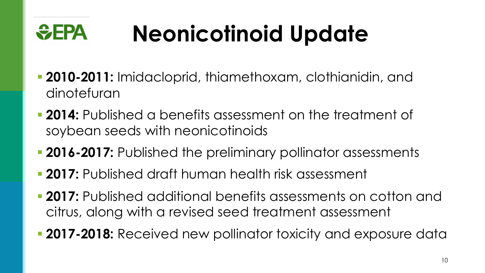#### $EPA$ **Neonicotinoid Update**

- § **2010-2011:** Imidacloprid, thiamethoxam, clothianidin, and dinotefuran
- § **2014:** Published a benefits assessment on the treatment of soybean seeds with neonicotinoids
- **2016-2017:** Published the preliminary pollinator assessments
- § **2017:** Published draft human health risk assessment
- § **2017:** Published additional benefits assessments on cotton and citrus, along with a revised seed treatment assessment
- 2017-2018: Received new pollinator toxicity and exposure data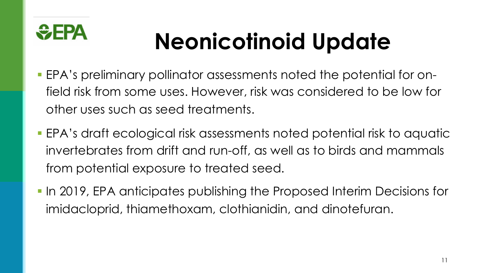

## **Neonicotinoid Update**

- EPA's preliminary pollinator assessments noted the potential for onfield risk from some uses. However, risk was considered to be low for other uses such as seed treatments.
- EPA's draft ecological risk assessments noted potential risk to aquatic invertebrates from drift and run-off, as well as to birds and mammals from potential exposure to treated seed.
- In 2019, EPA anticipates publishing the Proposed Interim Decisions for imidacloprid, thiamethoxam, clothianidin, and dinotefuran.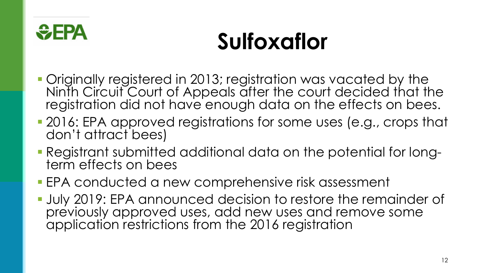

### **Sulfoxaflor**

- § Originally registered in 2013; registration was vacated by the Ninth Circuit Court of Appeals after the court decided that the registration did not have enough data on the effects on bees.
- 2016: EPA approved registrations for some uses (e.g., crops that don't attract bees)
- § Registrant submitted additional data on the potential for long- term effects on bees
- EPA conducted a new comprehensive risk assessment
- **July 2019: EPA announced decision to restore the remainder of** previously approved uses, add new uses and remove some application restrictions from the 2016 registration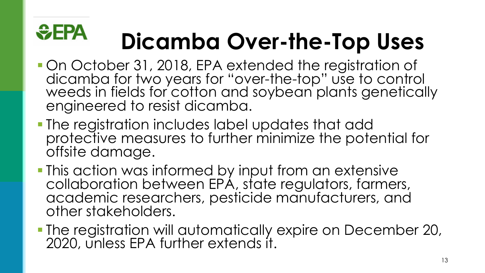### **SEPA Dicamba Over-the-Top Uses**

- § On October 31, 2018, EPA extended the registration of weeds in fields for cotton and soybean plants genetically engineered to resist dicamba.
- § The registration includes label updates that add protective measures to further minimize the potential for offsite damage.
- This action was informed by input from an extensive collaboration between EPA, state regulators, farmers, academic researchers, pesticide manufacturers, and other stakeholders.
- § The registration will automatically expire on December 20, 2020, unless EPA further extends it.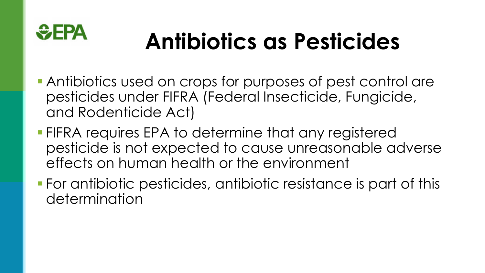

### **Antibiotics as Pesticides**

- Antibiotics used on crops for purposes of pest control are pesticides under FIFRA (Federal Insecticide, Fungicide, and Rodenticide Act)
- FIFRA requires EPA to determine that any registered pesticide is not expected to cause unreasonable adverse effects on human health or the environment
- For antibiotic pesticides, antibiotic resistance is part of this determination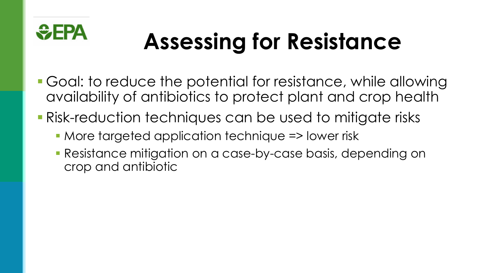

## **Assessing for Resistance**

- Goal: to reduce the potential for resistance, while allowing availability of antibiotics to protect plant and crop health
- Risk-reduction techniques can be used to mitigate risks
	- More targeted application technique => lower risk
	- Resistance mitigation on a case-by-case basis, depending on crop and antibiotic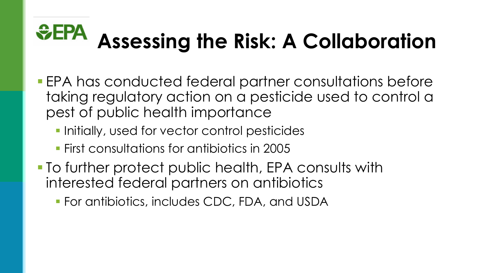### $EFA$ **Assessing the Risk: A Collaboration**

- EPA has conducted federal partner consultations before taking regulatory action on a pesticide used to control a pest of public health importance
	- Initially, used for vector control pesticides
	- § First consultations for antibiotics in 2005
- To further protect public health, EPA consults with interested federal partners on antibiotics
	- § For antibiotics, includes CDC, FDA, and USDA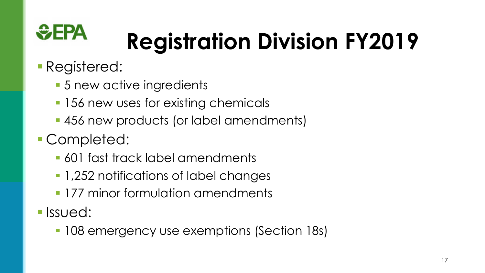

# **Registration Division FY2019**

- Registered:
	- 5 new active ingredients
	- 156 new uses for existing chemicals
	- 456 new products (or label amendments)
- Completed:
	- 601 fast track label amendments
	- 1,252 notifications of label changes
	- **177 minor formulation amendments**
- § Issued:
	- 108 emergency use exemptions (Section 18s)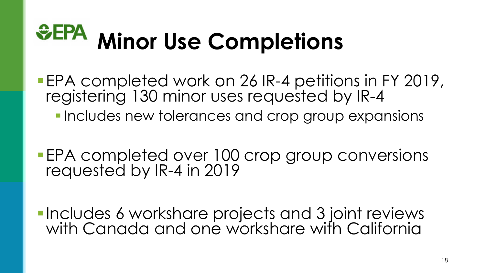### $EFA$ **Minor Use Completions**

- §EPA completed work on 26 IR-4 petitions in FY 2019, registering 130 minor uses requested by IR-4
	- Includes new tolerances and crop group expansions
- EPA completed over 100 crop group conversions requested by IR-4 in 2019
- **•Includes 6 workshare projects and 3 joint reviews** with Canada and one workshare with California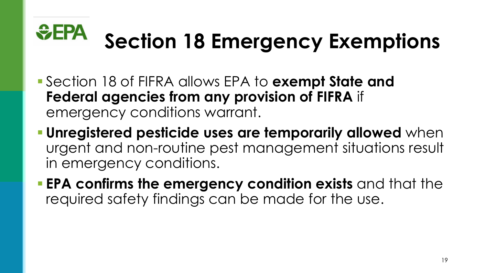

### **Section 18 Emergency Exemptions**

- § Section 18 of FIFRA allows EPA to **exempt State and Federal agencies from any provision of FIFRA** if emergency conditions warrant.
- § **Unregistered pesticide uses are temporarily allowed** when urgent and non-routine pest management situations result in emergency conditions.
- § **EPA confirms the emergency condition exists** and that the required safety findings can be made for the use.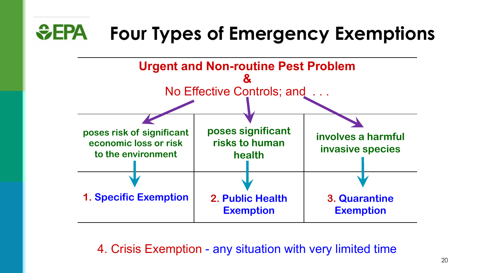#### $EPA$ **Four Types of Emergency Exemptions**



4. Crisis Exemption - any situation with very limited time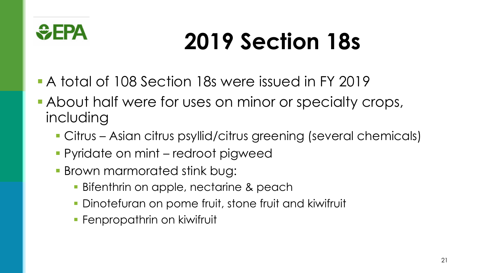

## **2019 Section 18s**

- A total of 108 Section 18s were issued in FY 2019
- About half were for uses on minor or specialty crops, including
	- Citrus Asian citrus psyllid/citrus greening (several chemicals)
	- Pyridate on mint redroot pigweed
	- Brown marmorated stink bug:
		- **Bifenthrin on apple, nectarine & peach**
		- **Dinotefuran on pome fruit, stone fruit and kiwifruit**
		- **Fenpropathrin on kiwifruit**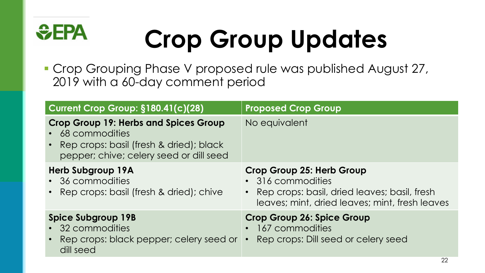### $EPA$ **Crop Group Updates**

■ Crop Grouping Phase V proposed rule was published August 27, 2019 with a 60-day comment period

| Current Crop Group: §180.41(c)(28)                                                                                                                       | <b>Proposed Crop Group</b>                                                                                                                         |
|----------------------------------------------------------------------------------------------------------------------------------------------------------|----------------------------------------------------------------------------------------------------------------------------------------------------|
| <b>Crop Group 19: Herbs and Spices Group</b><br>• 68 commodities<br>• Rep crops: basil (fresh & dried); black<br>pepper; chive; celery seed or dill seed | No equivalent                                                                                                                                      |
| <b>Herb Subgroup 19A</b><br>• 36 commodities<br>• Rep crops: basil (fresh & dried); chive                                                                | Crop Group 25: Herb Group<br>• 316 commodities<br>• Rep crops: basil, dried leaves; basil, fresh<br>leaves; mint, dried leaves; mint, fresh leaves |
| <b>Spice Subgroup 19B</b><br>• 32 commodities<br>• Rep crops: black pepper; celery seed or • Rep crops: Dill seed or celery seed<br>dill seed            | <b>Crop Group 26: Spice Group</b><br>167 commodities                                                                                               |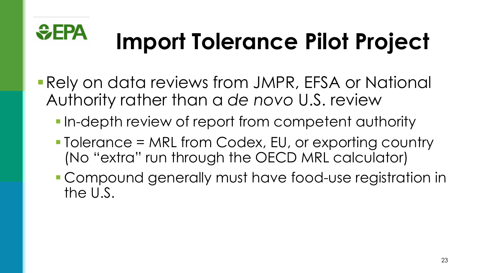

# **Import Tolerance Pilot Project**

- Rely on data reviews from JMPR, EFSA or National Authority rather than a *de novo* U.S. review
	- In-depth review of report from competent authority
	- Tolerance = MRL from Codex, EU, or exporting country (No "extra" run through the OECD MRL calculator)
	- § Compound generally must have food-use registration in the U.S.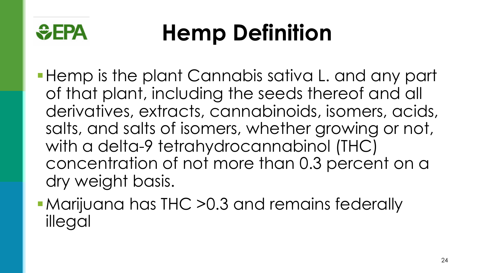

### **Hemp Definition**

■ Hemp is the plant Cannabis sativa L. and any part of that plant, including the seeds thereof and all derivatives, extracts, cannabinoids, isomers, acids, salts, and salts of isomers, whether growing or not, with a delta-9 tetrahydrocannabinol (THC) concentration of not more than 0.3 percent on a dry weight basis.

■ Marijuana has THC > 0.3 and remains federally illegal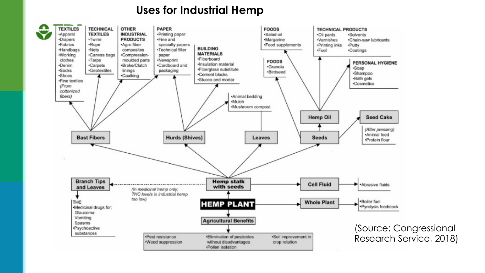#### **Uses for Industrial Hemp**

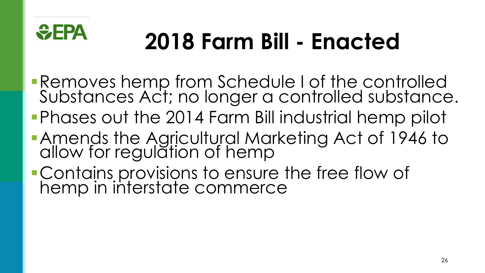

### **2018 Farm Bill - Enacted**

- §Removes hemp from Schedule I of the controlled Substances Act; no longer a controlled substance.
- §Phases out the 2014 Farm Bill industrial hemp pilot
- §Amends the Agricultural Marketing Act of 1946 to allow for regulation of hemp
- §Contains provisions to ensure the free flow of hemp in interstate commerce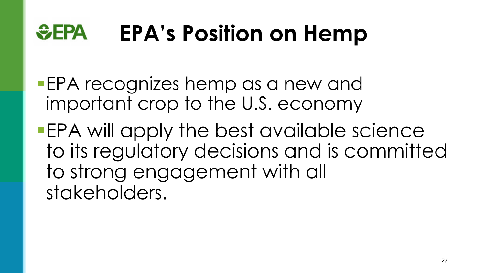#### $EPA$ **EPA's Position on Hemp**

- **EPA recognizes hemp as a new and** important crop to the U.S. economy
- §EPA will apply the best available science to its regulatory decisions and is committed to strong engagement with all stakeholders.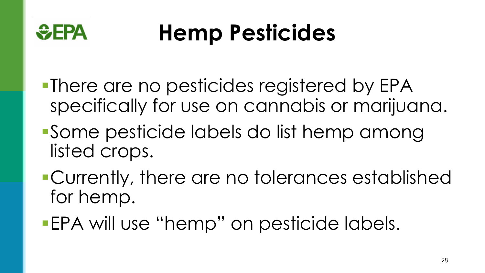

### **Hemp Pesticides**

- §There are no pesticides registered by EPA specifically for use on cannabis or marijuana.
- ■Some pesticide labels do list hemp among listed crops.
- §Currently, there are no tolerances established for hemp.
- EPA will use "hemp" on pesticide labels.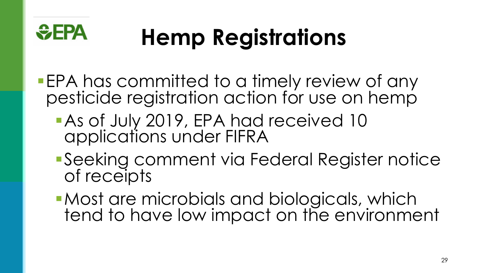

# **Hemp Registrations**

- EPA has committed to a timely review of any pesticide registration action for use on hemp
	- As of July 2019, EPA had received 10 applications under FIFRA
	- ■Seeking comment via Federal Register notice of receipts
	- ■Most are microbials and biologicals, which tend to have low impact on the environment